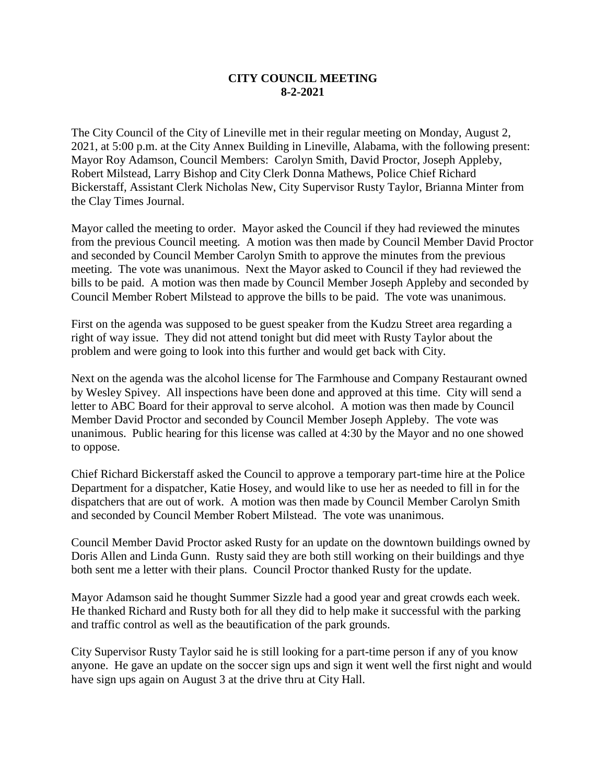## **CITY COUNCIL MEETING 8-2-2021**

The City Council of the City of Lineville met in their regular meeting on Monday, August 2, 2021, at 5:00 p.m. at the City Annex Building in Lineville, Alabama, with the following present: Mayor Roy Adamson, Council Members: Carolyn Smith, David Proctor, Joseph Appleby, Robert Milstead, Larry Bishop and City Clerk Donna Mathews, Police Chief Richard Bickerstaff, Assistant Clerk Nicholas New, City Supervisor Rusty Taylor, Brianna Minter from the Clay Times Journal.

Mayor called the meeting to order. Mayor asked the Council if they had reviewed the minutes from the previous Council meeting. A motion was then made by Council Member David Proctor and seconded by Council Member Carolyn Smith to approve the minutes from the previous meeting. The vote was unanimous. Next the Mayor asked to Council if they had reviewed the bills to be paid. A motion was then made by Council Member Joseph Appleby and seconded by Council Member Robert Milstead to approve the bills to be paid. The vote was unanimous.

First on the agenda was supposed to be guest speaker from the Kudzu Street area regarding a right of way issue. They did not attend tonight but did meet with Rusty Taylor about the problem and were going to look into this further and would get back with City.

Next on the agenda was the alcohol license for The Farmhouse and Company Restaurant owned by Wesley Spivey. All inspections have been done and approved at this time. City will send a letter to ABC Board for their approval to serve alcohol. A motion was then made by Council Member David Proctor and seconded by Council Member Joseph Appleby. The vote was unanimous. Public hearing for this license was called at 4:30 by the Mayor and no one showed to oppose.

Chief Richard Bickerstaff asked the Council to approve a temporary part-time hire at the Police Department for a dispatcher, Katie Hosey, and would like to use her as needed to fill in for the dispatchers that are out of work. A motion was then made by Council Member Carolyn Smith and seconded by Council Member Robert Milstead. The vote was unanimous.

Council Member David Proctor asked Rusty for an update on the downtown buildings owned by Doris Allen and Linda Gunn. Rusty said they are both still working on their buildings and thye both sent me a letter with their plans. Council Proctor thanked Rusty for the update.

Mayor Adamson said he thought Summer Sizzle had a good year and great crowds each week. He thanked Richard and Rusty both for all they did to help make it successful with the parking and traffic control as well as the beautification of the park grounds.

City Supervisor Rusty Taylor said he is still looking for a part-time person if any of you know anyone. He gave an update on the soccer sign ups and sign it went well the first night and would have sign ups again on August 3 at the drive thru at City Hall.